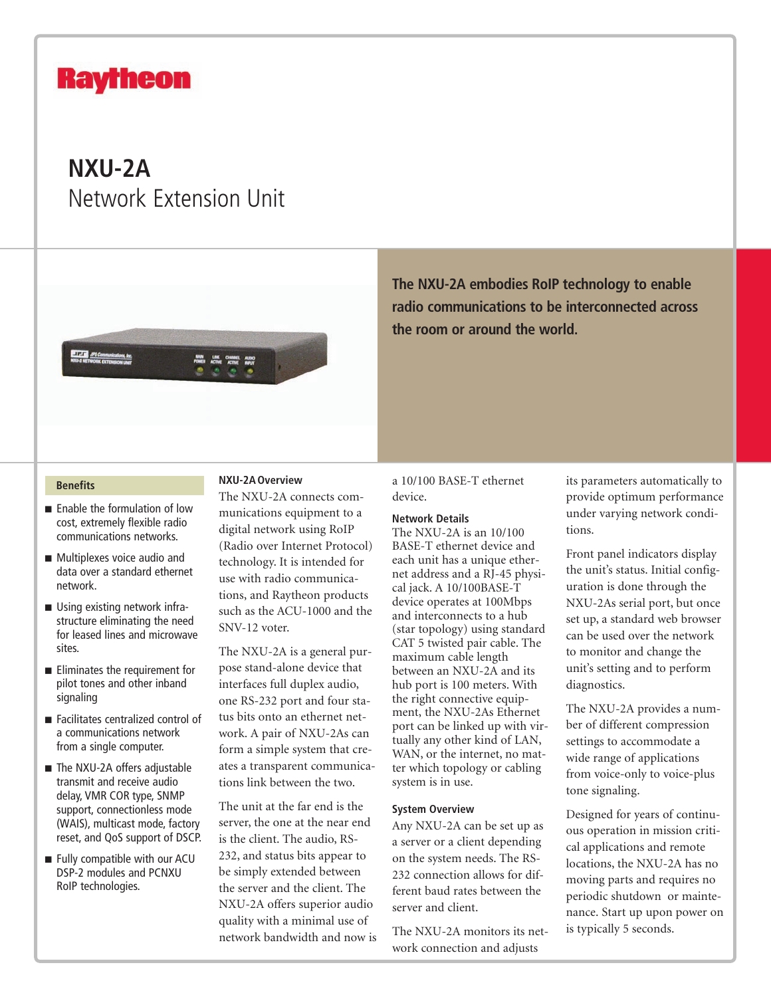# **Raytheon**

## **NXU-2A** Network Extension Unit



**The NXU-2A embodies RoIP technology to enable radio communications to be interconnected across the room or around the world.**

#### **Benefits**

- Enable the formulation of low cost, extremely flexible radio communications networks.
- **Multiplexes voice audio and** data over a standard ethernet network.
- Using existing network infrastructure eliminating the need for leased lines and microwave sites.
- **Eliminates the requirement for** pilot tones and other inband signaling
- Facilitates centralized control of a communications network from a single computer.
- The NXU-2A offers adjustable transmit and receive audio delay, VMR COR type, SNMP support, connectionless mode (WAIS), multicast mode, factory reset, and QoS support of DSCP.
- Fully compatible with our ACU DSP-2 modules and PCNXU RoIP technologies.

#### **NXU-2AOverview**

The NXU-2A connects communications equipment to a digital network using RoIP (Radio over Internet Protocol) technology. It is intended for use with radio communications, and Raytheon products such as the ACU-1000 and the SNV-12 voter.

The NXU-2A is a general purpose stand-alone device that interfaces full duplex audio, one RS-232 port and four status bits onto an ethernet network. A pair of NXU-2As can form a simple system that creates a transparent communications link between the two.

The unit at the far end is the server, the one at the near end is the client. The audio, RS-232, and status bits appear to be simply extended between the server and the client. The NXU-2A offers superior audio quality with a minimal use of network bandwidth and now is a 10/100 BASE-T ethernet device.

## **Network Details**

The NXU-2A is an 10/100 BASE-T ethernet device and each unit has a unique ethernet address and a RJ-45 physical jack. A 10/100BASE-T device operates at 100Mbps and interconnects to a hub (star topology) using standard CAT 5 twisted pair cable. The maximum cable length between an NXU-2A and its hub port is 100 meters. With the right connective equipment, the NXU-2As Ethernet port can be linked up with virtually any other kind of LAN, WAN, or the internet, no matter which topology or cabling system is in use.

### **System Overview**

Any NXU-2A can be set up as a server or a client depending on the system needs. The RS-232 connection allows for different baud rates between the server and client.

The NXU-2A monitors its network connection and adjusts

its parameters automatically to provide optimum performance under varying network conditions.

Front panel indicators display the unit's status. Initial configuration is done through the NXU-2As serial port, but once set up, a standard web browser can be used over the network to monitor and change the unit's setting and to perform diagnostics.

The NXU-2A provides a number of different compression settings to accommodate a wide range of applications from voice-only to voice-plus tone signaling.

Designed for years of continuous operation in mission critical applications and remote locations, the NXU-2A has no moving parts and requires no periodic shutdown or maintenance. Start up upon power on is typically 5 seconds.